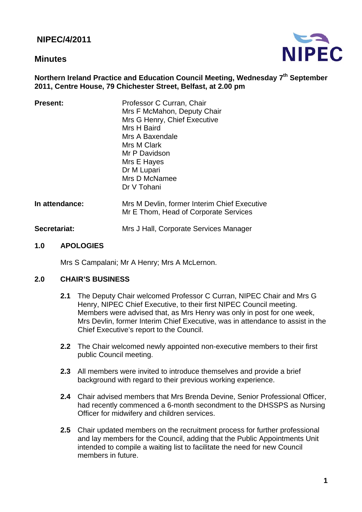**NIPEC/4/2011** 

# **Minutes**



## **Northern Ireland Practice and Education Council Meeting, Wednesday 7<sup>th</sup> September 2011, Centre House, 79 Chichester Street, Belfast, at 2.00 pm**

| <b>Present:</b> | Professor C Curran, Chair<br>Mrs F McMahon, Deputy Chair<br>Mrs G Henry, Chief Executive<br>Mrs H Baird<br>Mrs A Baxendale<br>Mrs M Clark<br>Mr P Davidson<br>Mrs E Hayes<br>Dr M Lupari<br>Mrs D McNamee<br>Dr V Tohani |
|-----------------|--------------------------------------------------------------------------------------------------------------------------------------------------------------------------------------------------------------------------|
| In attendance:  | Mrs M Devlin, former Interim Chief Executive<br>Mr E Thom, Head of Corporate Services                                                                                                                                    |
| Secretariat:    | Mrs J Hall, Corporate Services Manager                                                                                                                                                                                   |

#### **1.0 APOLOGIES**

Mrs S Campalani; Mr A Henry; Mrs A McLernon.

#### **2.0 CHAIR'S BUSINESS**

- **2.1** The Deputy Chair welcomed Professor C Curran, NIPEC Chair and Mrs G Henry, NIPEC Chief Executive, to their first NIPEC Council meeting. Members were advised that, as Mrs Henry was only in post for one week, Mrs Devlin, former Interim Chief Executive, was in attendance to assist in the Chief Executive's report to the Council.
- **2.2** The Chair welcomed newly appointed non-executive members to their first public Council meeting.
- **2.3** All members were invited to introduce themselves and provide a brief background with regard to their previous working experience.
- **2.4** Chair advised members that Mrs Brenda Devine, Senior Professional Officer, had recently commenced a 6-month secondment to the DHSSPS as Nursing Officer for midwifery and children services.
- **2.5** Chair updated members on the recruitment process for further professional and lay members for the Council, adding that the Public Appointments Unit intended to compile a waiting list to facilitate the need for new Council members in future.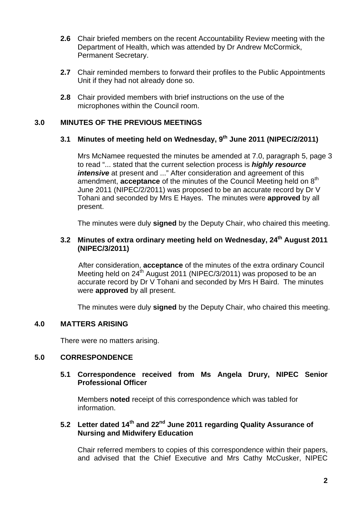- **2.6** Chair briefed members on the recent Accountability Review meeting with the Department of Health, which was attended by Dr Andrew McCormick, Permanent Secretary.
- **2.7** Chair reminded members to forward their profiles to the Public Appointments Unit if they had not already done so.
- **2.8** Chair provided members with brief instructions on the use of the microphones within the Council room.

# **3.0 MINUTES OF THE PREVIOUS MEETINGS**

# **3.1 Minutes of meeting held on Wednesday, 9th June 2011 (NIPEC/2/2011)**

 Mrs McNamee requested the minutes be amended at 7.0, paragraph 5, page 3 to read "... stated that the current selection process is *highly resource intensive* at present and ..." After consideration and agreement of this amendment, **acceptance** of the minutes of the Council Meeting held on 8<sup>th</sup> June 2011 (NIPEC/2/2011) was proposed to be an accurate record by Dr V Tohani and seconded by Mrs E Hayes. The minutes were **approved** by all present.

The minutes were duly **signed** by the Deputy Chair, who chaired this meeting.

## **3.2 Minutes of extra ordinary meeting held on Wednesday, 24th August 2011 (NIPEC/3/2011)**

After consideration, **acceptance** of the minutes of the extra ordinary Council Meeting held on 24<sup>th</sup> August 2011 (NIPEC/3/2011) was proposed to be an accurate record by Dr V Tohani and seconded by Mrs H Baird. The minutes were **approved** by all present.

The minutes were duly **signed** by the Deputy Chair, who chaired this meeting.

## **4.0 MATTERS ARISING**

There were no matters arising.

#### **5.0 CORRESPONDENCE**

#### **5.1 Correspondence received from Ms Angela Drury, NIPEC Senior Professional Officer**

 Members **noted** receipt of this correspondence which was tabled for information.

# **5.2 Letter dated 14th and 22nd June 2011 regarding Quality Assurance of Nursing and Midwifery Education**

 Chair referred members to copies of this correspondence within their papers, and advised that the Chief Executive and Mrs Cathy McCusker, NIPEC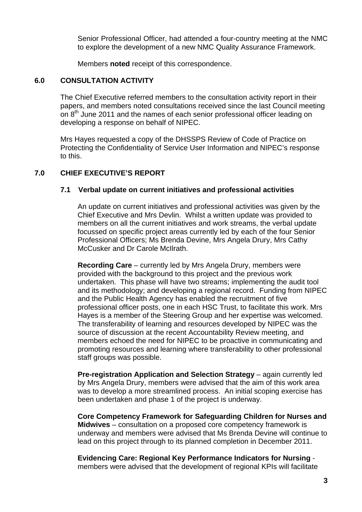Senior Professional Officer, had attended a four-country meeting at the NMC to explore the development of a new NMC Quality Assurance Framework.

Members **noted** receipt of this correspondence.

## **6.0 CONSULTATION ACTIVITY**

 The Chief Executive referred members to the consultation activity report in their papers, and members noted consultations received since the last Council meeting on 8<sup>th</sup> June 2011 and the names of each senior professional officer leading on developing a response on behalf of NIPEC.

 Mrs Hayes requested a copy of the DHSSPS Review of Code of Practice on Protecting the Confidentiality of Service User Information and NIPEC's response to this.

## **7.0 CHIEF EXECUTIVE'S REPORT**

## **7.1 Verbal update on current initiatives and professional activities**

 An update on current initiatives and professional activities was given by the Chief Executive and Mrs Devlin. Whilst a written update was provided to members on all the current initiatives and work streams, the verbal update focussed on specific project areas currently led by each of the four Senior Professional Officers; Ms Brenda Devine, Mrs Angela Drury, Mrs Cathy McCusker and Dr Carole McIlrath.

**Recording Care** – currently led by Mrs Angela Drury, members were provided with the background to this project and the previous work undertaken. This phase will have two streams; implementing the audit tool and its methodology; and developing a regional record. Funding from NIPEC and the Public Health Agency has enabled the recruitment of five professional officer posts, one in each HSC Trust, to facilitate this work. Mrs Hayes is a member of the Steering Group and her expertise was welcomed. The transferability of learning and resources developed by NIPEC was the source of discussion at the recent Accountability Review meeting, and members echoed the need for NIPEC to be proactive in communicating and promoting resources and learning where transferability to other professional staff groups was possible.

**Pre-registration Application and Selection Strategy** – again currently led by Mrs Angela Drury, members were advised that the aim of this work area was to develop a more streamlined process. An initial scoping exercise has been undertaken and phase 1 of the project is underway.

**Core Competency Framework for Safeguarding Children for Nurses and Midwives** – consultation on a proposed core competency framework is underway and members were advised that Ms Brenda Devine will continue to lead on this project through to its planned completion in December 2011.

**Evidencing Care: Regional Key Performance Indicators for Nursing** members were advised that the development of regional KPIs will facilitate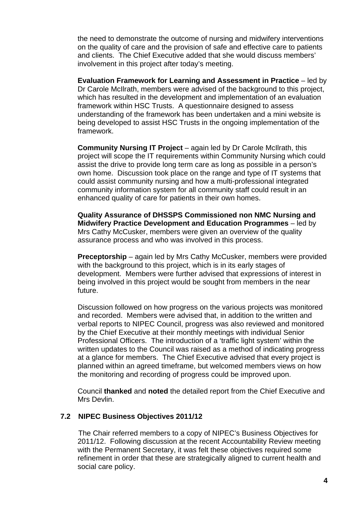the need to demonstrate the outcome of nursing and midwifery interventions on the quality of care and the provision of safe and effective care to patients and clients. The Chief Executive added that she would discuss members' involvement in this project after today's meeting.

**Evaluation Framework for Learning and Assessment in Practice** – led by Dr Carole McIlrath, members were advised of the background to this project, which has resulted in the development and implementation of an evaluation framework within HSC Trusts. A questionnaire designed to assess understanding of the framework has been undertaken and a mini website is being developed to assist HSC Trusts in the ongoing implementation of the framework.

**Community Nursing IT Project** – again led by Dr Carole McIlrath, this project will scope the IT requirements within Community Nursing which could assist the drive to provide long term care as long as possible in a person's own home. Discussion took place on the range and type of IT systems that could assist community nursing and how a multi-professional integrated community information system for all community staff could result in an enhanced quality of care for patients in their own homes.

**Quality Assurance of DHSSPS Commissioned non NMC Nursing and Midwifery Practice Development and Education Programmes** – led by Mrs Cathy McCusker, members were given an overview of the quality assurance process and who was involved in this process.

**Preceptorship** – again led by Mrs Cathy McCusker, members were provided with the background to this project, which is in its early stages of development. Members were further advised that expressions of interest in being involved in this project would be sought from members in the near future.

 Discussion followed on how progress on the various projects was monitored and recorded. Members were advised that, in addition to the written and verbal reports to NIPEC Council, progress was also reviewed and monitored by the Chief Executive at their monthly meetings with individual Senior Professional Officers. The introduction of a 'traffic light system' within the written updates to the Council was raised as a method of indicating progress at a glance for members. The Chief Executive advised that every project is planned within an agreed timeframe, but welcomed members views on how the monitoring and recording of progress could be improved upon.

Council **thanked** and **noted** the detailed report from the Chief Executive and Mrs Devlin.

#### **7.2 NIPEC Business Objectives 2011/12**

The Chair referred members to a copy of NIPEC's Business Objectives for 2011/12. Following discussion at the recent Accountability Review meeting with the Permanent Secretary, it was felt these objectives required some refinement in order that these are strategically aligned to current health and social care policy.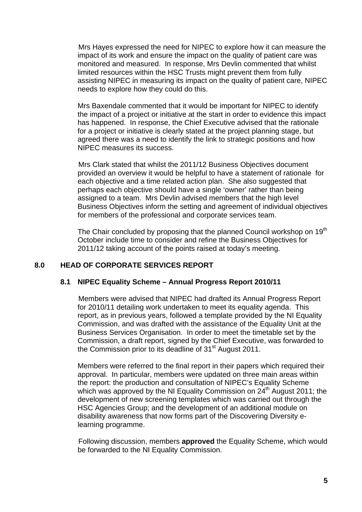Mrs Hayes expressed the need for NIPEC to explore how it can measure the impact of its work and ensure the impact on the quality of patient care was monitored and measured. In response, Mrs Devlin commented that whilst limited resources within the HSC Trusts might prevent them from fully assisting NIPEC in measuring its impact on the quality of patient care, NIPEC needs to explore how they could do this.

 Mrs Baxendale commented that it would be important for NIPEC to identify the impact of a project or initiative at the start in order to evidence this impact has happened. In response, the Chief Executive advised that the rationale for a project or initiative is clearly stated at the project planning stage, but agreed there was a need to identify the link to strategic positions and how NIPEC measures its success.

 Mrs Clark stated that whilst the 2011/12 Business Objectives document provided an overview it would be helpful to have a statement of rationale for each objective and a time related action plan. She also suggested that perhaps each objective should have a single 'owner' rather than being assigned to a team. Mrs Devlin advised members that the high level Business Objectives inform the setting and agreement of individual objectives for members of the professional and corporate services team.

The Chair concluded by proposing that the planned Council workshop on 19<sup>th</sup> October include time to consider and refine the Business Objectives for 2011/12 taking account of the points raised at today's meeting.

## **8.0 HEAD OF CORPORATE SERVICES REPORT**

#### **8.1 NIPEC Equality Scheme – Annual Progress Report 2010/11**

 Members were advised that NIPEC had drafted its Annual Progress Report for 2010/11 detailing work undertaken to meet its equality agenda. This report, as in previous years, followed a template provided by the NI Equality Commission, and was drafted with the assistance of the Equality Unit at the Business Services Organisation. In order to meet the timetable set by the Commission, a draft report, signed by the Chief Executive, was forwarded to the Commission prior to its deadline of 31<sup>st</sup> August 2011.

Members were referred to the final report in their papers which required their approval. In particular, members were updated on three main areas within the report: the production and consultation of NIPEC's Equality Scheme which was approved by the NI Equality Commission on 24<sup>th</sup> August 2011; the development of new screening templates which was carried out through the HSC Agencies Group; and the development of an additional module on disability awareness that now forms part of the Discovering Diversity elearning programme.

 Following discussion, members **approved** the Equality Scheme, which would be forwarded to the NI Equality Commission.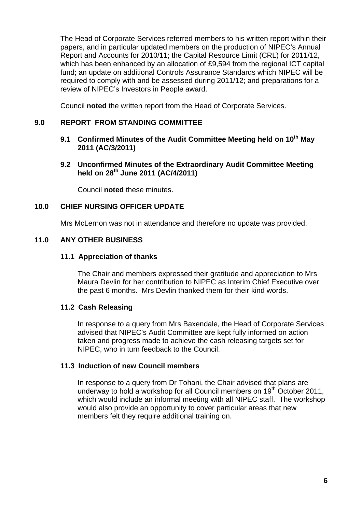The Head of Corporate Services referred members to his written report within their papers, and in particular updated members on the production of NIPEC's Annual Report and Accounts for 2010/11; the Capital Resource Limit (CRL) for 2011/12, which has been enhanced by an allocation of £9,594 from the regional ICT capital fund; an update on additional Controls Assurance Standards which NIPEC will be required to comply with and be assessed during 2011/12; and preparations for a review of NIPEC's Investors in People award.

Council **noted** the written report from the Head of Corporate Services.

## **9.0 REPORT FROM STANDING COMMITTEE**

- 9.1 Confirmed Minutes of the Audit Committee Meeting held on 10<sup>th</sup> May **2011 (AC/3/2011)**
- **9.2 Unconfirmed Minutes of the Extraordinary Audit Committee Meeting held on 28th June 2011 (AC/4/2011)**

Council **noted** these minutes.

## **10.0 CHIEF NURSING OFFICER UPDATE**

Mrs McLernon was not in attendance and therefore no update was provided.

## **11.0 ANY OTHER BUSINESS**

#### **11.1 Appreciation of thanks**

The Chair and members expressed their gratitude and appreciation to Mrs Maura Devlin for her contribution to NIPEC as Interim Chief Executive over the past 6 months. Mrs Devlin thanked them for their kind words.

#### **11.2 Cash Releasing**

In response to a query from Mrs Baxendale, the Head of Corporate Services advised that NIPEC's Audit Committee are kept fully informed on action taken and progress made to achieve the cash releasing targets set for NIPEC, who in turn feedback to the Council.

## **11.3 Induction of new Council members**

In response to a query from Dr Tohani, the Chair advised that plans are underway to hold a workshop for all Council members on  $19<sup>th</sup>$  October 2011, which would include an informal meeting with all NIPEC staff. The workshop would also provide an opportunity to cover particular areas that new members felt they require additional training on.